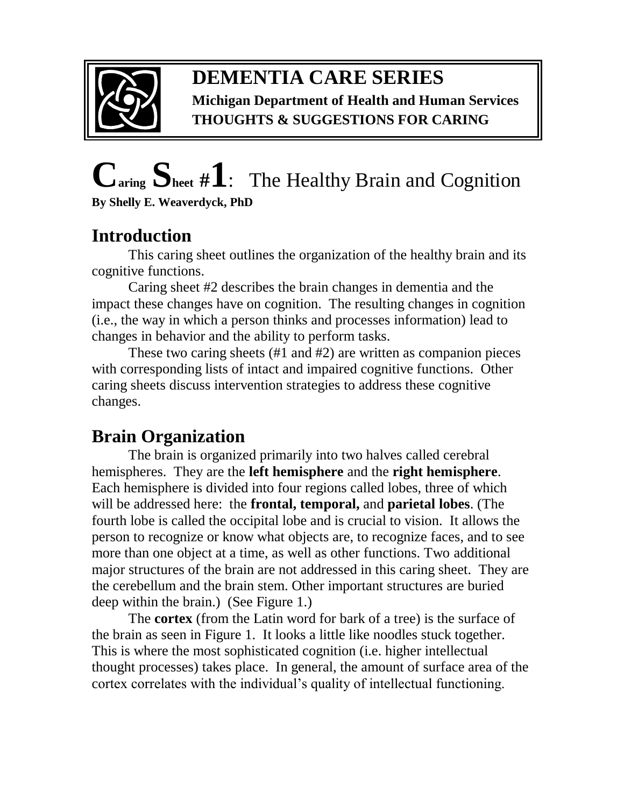

## **DEMENTIA CARE SERIES Michigan Department of Health and Human Services THOUGHTS & SUGGESTIONS FOR CARING**

# **Caring Sheet #1**:The Healthy Brain and Cognition **By Shelly E. Weaverdyck, PhD**

# **Introduction**

This caring sheet outlines the organization of the healthy brain and its cognitive functions.

Caring sheet #2 describes the brain changes in dementia and the impact these changes have on cognition. The resulting changes in cognition (i.e., the way in which a person thinks and processes information) lead to changes in behavior and the ability to perform tasks.

These two caring sheets (#1 and #2) are written as companion pieces with corresponding lists of intact and impaired cognitive functions. Other caring sheets discuss intervention strategies to address these cognitive changes.

# **Brain Organization**

The brain is organized primarily into two halves called cerebral hemispheres. They are the **left hemisphere** and the **right hemisphere**. Each hemisphere is divided into four regions called lobes, three of which will be addressed here: the **frontal, temporal,** and **parietal lobes**. (The fourth lobe is called the occipital lobe and is crucial to vision. It allows t he person to recognize or know what objects are, to recognize faces, and to see more than one object at a time, as well as other functions. Two additional major structures of the brain are not addressed in this caring sheet. They are the cerebellum and the brain stem. Other important structures are buried deep within the brain.) (See Figure 1.)

 The **cortex** (from the Latin word for bark of a tree) is the surface o f the brain as seen in Figure 1. It looks a little like noodles stuck together. This is where the most sophisticated cognition (i.e. higher intellectual thought processes) takes place. In general, the amount of surface area of the cortex correlates with the individual's quality of intellectual functioning.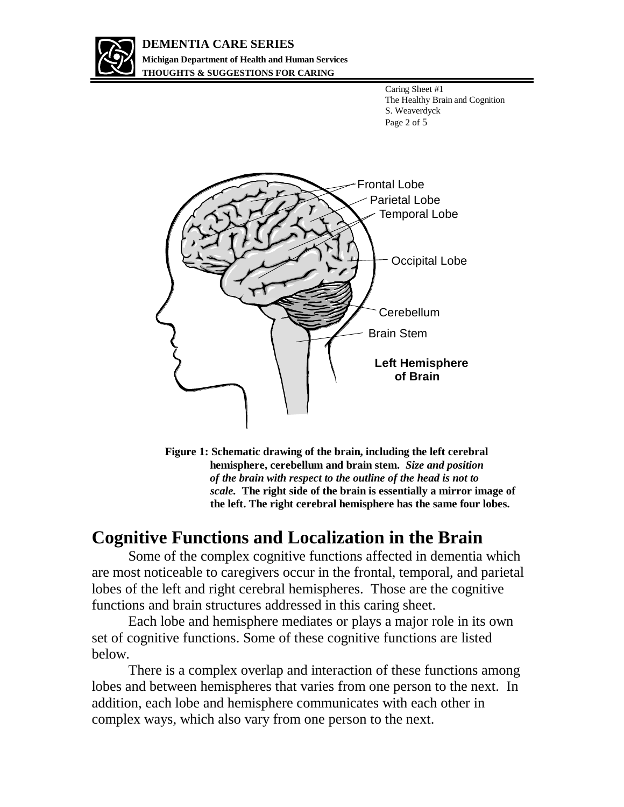

#### **DEMENTIA CARE SERIES Michigan Department of Health and Human Services THOUGHTS & SUGGESTIONS FOR CARING**

Caring Sheet #1 The Healthy Brain and Cognition S. Weaverdyck Page 2 of 5



**Figure 1: Schematic drawing of the brain, including the left cerebral hemisphere, cerebellum and brain stem.** *Size and position of the brain with respect to the outline of the head is not to scale.* **The right side of the brain is essentially a mirror image of the left. The right cerebral hemisphere has the same four lobes.** 

### **Cognitive Functions and Localization in the Brain**

Some of the complex cognitive functions affected in dementia which are most noticeable to caregivers occur in the frontal, temporal, and parietal lobes of the left and right cerebral hemispheres. Those are the cognitive functions and brain structures addressed in this caring sheet.

Each lobe and hemisphere mediates or plays a major role in its own set of cognitive functions. Some of these cognitive functions are listed below.

There is a complex overlap and interaction of these functions among lobes and between hemispheres that varies from one person to the next. In addition, each lobe and hemisphere communicates with each other in complex ways, which also vary from one person to the next.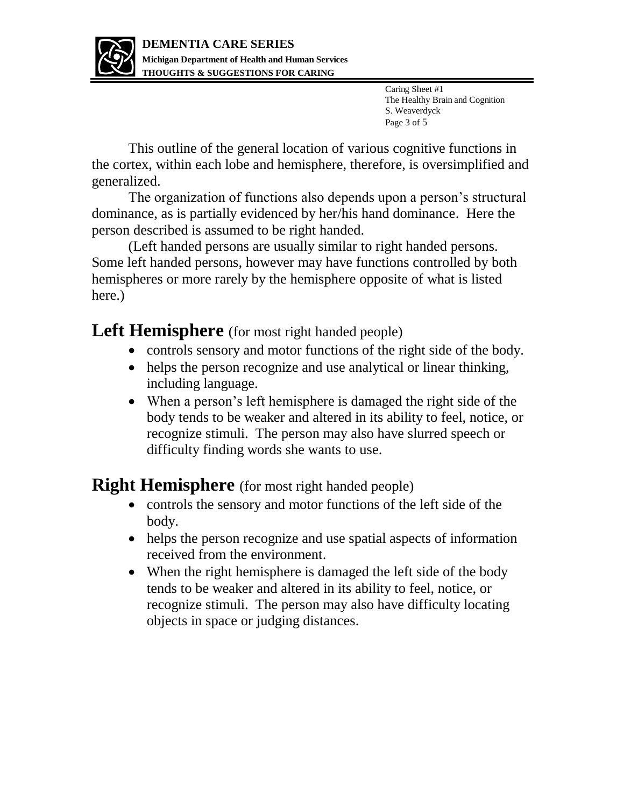

Caring Sheet #1 The Healthy Brain and Cognition S. Weaverdyck Page 3 of 5

This outline of the general location of various cognitive functions in the cortex, within each lobe and hemisphere, therefore, is oversimplified and generalized.

The organization of functions also depends upon a person's structural dominance, as is partially evidenced by her/his hand dominance. Here the person described is assumed to be right handed.

(Left handed persons are usually similar to right handed persons. Some left handed persons, however may have functions controlled by both hemispheres or more rarely by the hemisphere opposite of what is listed here.)

Left **Hemisphere** (for most right handed people)

- controls sensory and motor functions of the right side of the body.
- helps the person recognize and use analytical or linear thinking, including language.
- When a person's left hemisphere is damaged the right side of the body tends to be weaker and altered in its ability to feel, notice, or recognize stimuli. The person may also have slurred speech or difficulty finding words she wants to use.

**Right Hemisphere** (for most right handed people)

- controls the sensory and motor functions of the left side of the body.
- helps the person recognize and use spatial aspects of information received from the environment.
- When the right hemisphere is damaged the left side of the body tends to be weaker and altered in its ability to feel, notice, or recognize stimuli. The person may also have difficulty locating objects in space or judging distances.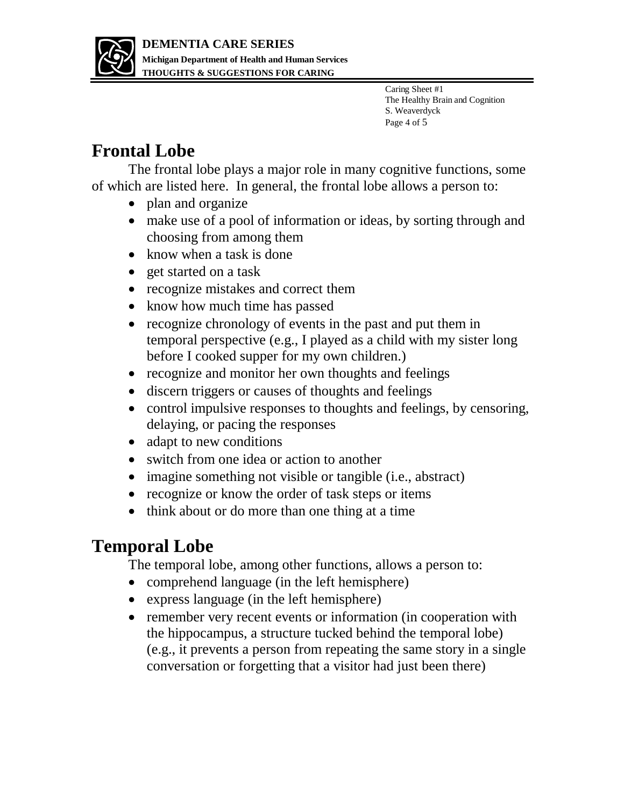

Caring Sheet #1 The Healthy Brain and Cognition S. Weaverdyck Page 4 of 5

## **Frontal Lobe**

The frontal lobe plays a major role in many cognitive functions, some of which are listed here. In general, the frontal lobe allows a person to:

- plan and organize
- make use of a pool of information or ideas, by sorting through and choosing from among them
- know when a task is done
- get started on a task
- recognize mistakes and correct them
- know how much time has passed
- recognize chronology of events in the past and put them in temporal perspective (e.g., I played as a child with my sister long before I cooked supper for my own children.)
- recognize and monitor her own thoughts and feelings
- discern triggers or causes of thoughts and feelings
- control impulsive responses to thoughts and feelings, by censoring, delaying, or pacing the responses
- adapt to new conditions
- switch from one idea or action to another
- imagine something not visible or tangible (i.e., abstract)
- recognize or know the order of task steps or items
- think about or do more than one thing at a time

# **Temporal Lobe**

The temporal lobe, among other functions, allows a person to:

- comprehend language (in the left hemisphere)
- express language (in the left hemisphere)
- remember very recent events or information (in cooperation with the hippocampus, a structure tucked behind the temporal lobe) (e.g., it prevents a person from repeating the same story in a single conversation or forgetting that a visitor had just been there)